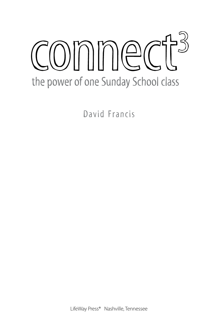# $COMMMEC$ the power of one Sunday School class

David Francis

LifeWay Press® Nashville, Tennessee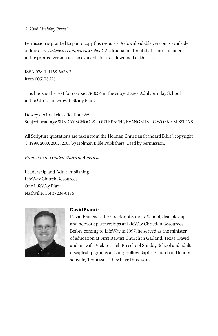#### © 2008 LifeWay Press<sup>®</sup>

Permission is granted to photocopy this resource. A downloadable version is available online at www.lifeway.com/sundayschool. Additional material that is not included in the printed version is also available for free download at this site.

ISBN 978-1-4158-6638-2 Item 005178625

This book is the text for course LS-0034 in the subject area Adult Sunday School in the Christian Growth Study Plan.

Dewey decimal classification: 269 Subject headings: SUNDAY SCHOOLS—OUTREACH \ EVANGELISTIC WORK \ MISSIONS

All Scripture quotations are taken from the Holman Christian Standard Bible®, copyright © 1999, 2000, 2002, 2003 by Holman Bible Publishers. Used by permission.

Printed in the United States of America

Leadership and Adult Publishing LifeWay Church Resources One LifeWay Plaza Nashville, TN 37234-0175



#### **David Francis**

David Francis is the director of Sunday School, discipleship, and network partnerships at LifeWay Christian Resources. Before coming to LifeWay in 1997, he served as the minister of education at First Baptist Church in Garland, Texas. David and his wife, Vickie, teach Preschool Sunday School and adult discipleship groups at Long Hollow Baptist Church in Hendersonville, Tennessee. They have three sons.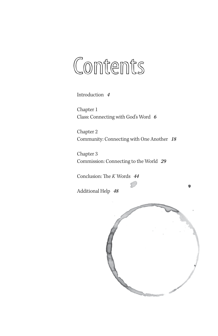## Contents

Introduction 4

Chapter 1 Class: Connecting with God's Word 6

Chapter 2 Community: Connecting with One Another 18

Chapter 3 Commission: Connecting to the World 29

Conclusion: The K Words 44

Additional Help 48

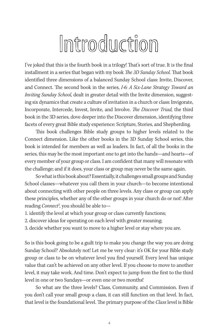## Introduction

I've joked that this is the fourth book in a trilogy! That's sort of true. It is the final installment in a series that began with my book The 3D Sunday School. That book identified three dimensions of a balanced Sunday School class: Invite, Discover, and Connect. The second book in the series, I-6: A Six-Lane Strategy Toward an Inviting Sunday School, dealt in greater detail with the Invite dimension, suggesting six dynamics that create a culture of invitation in a church or class: Invigorate, Incorporate, Intercede, Invest, Invite, and Involve. The Discover Triad, the third book in the 3D series, dove deeper into the Discover dimension, identifying three facets of every great Bible study experience: Scripture, Stories, and Shepherding.

This book challenges Bible study groups to higher levels related to the Connect dimension. Like the other books in the 3D Sunday School series, this book is intended for members as well as leaders. In fact, of all the books in the series, this may be the most important one to get into the hands—and hearts—of every member of your group or class. I am confident that many will resonate with the challenge; and if it does, your class or group may never be the same again.

So what is this book about? Essentially, it challenges small groups and Sunday School classes—whatever you call them in your church—to become intentional about connecting with other people on three levels. Any class or group can apply these principles, whether any of the other groups in your church do or not! After reading Connect<sup>3</sup>, you should be able to-

- 1. identify the level at which your group or class currently functions;
- 2. discover ideas for operating on each level with greater meaning;
- 3. decide whether you want to move to a higher level or stay where you are.

So is this book going to be a guilt trip to make you change the way you are doing Sunday School? Absolutely not! Let me be very clear: it's OK for your Bible study group or class to be on whatever level you find yourself. Every level has unique value that can't be achieved on any other level. If you choose to move to another level, it may take work. And time. Don't expect to jump from the first to the third level in one or two Sundays—or even one or two months!

So what are the three levels? Class, Community, and Commission. Even if you don't call your small group a class, it can still function on that level. In fact, that level is the foundational level. The primary purpose of the Class level is Bible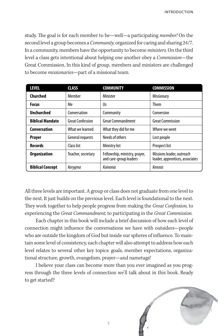study. The goal is for each member to be—well—a participating *member!* On the second level a group becomes a *Community*, organized for caring and sharing 24/7. In a community, members have the opportunity to become ministers. On the third level a class gets intentional about helping one another obey a *Commission*—the Great Commission. In this kind of group, members and ministers are challenged to become missionaries—part of a missional team.

| <b>LEVEL</b>            | <b>CLASS</b>       | <b>COMMUNITY</b>                                        | <b>COMMISSION</b>                                            |
|-------------------------|--------------------|---------------------------------------------------------|--------------------------------------------------------------|
| Churched                | Member             | Minister                                                | <b>Missionary</b>                                            |
| <b>Focus</b>            | Me                 | Us                                                      | <b>Them</b>                                                  |
| <b>Unchurched</b>       | Conversation       | Community                                               | Conversion                                                   |
| <b>Biblical Mandate</b> | Great Confession   | Great Commandment                                       | <b>Great Commission</b>                                      |
| <b>Conversation</b>     | What we learned    | What they did for me                                    | Where we went                                                |
| <b>Prayer</b>           | General requests   | Needs of others                                         | Lost people                                                  |
| <b>Records</b>          | Class list         | Ministry list                                           | <b>Prospect list</b>                                         |
| <b>Organization</b>     | Teacher, secretary | Fellowship, ministry, prayer,<br>and care-group leaders | Missions leader, outreach<br>leader, apprentices, associates |
| <b>Biblical Concept</b> | Kerygma            | Koinonia                                                | Kenosis                                                      |

All three levels are important. A group or class does not graduate from one level to the next. It just builds on the previous level. Each level is foundational to the next. They work together to help people progress from making the Great Confession, to experiencing the Great Commandment, to participating in the Great Commission.

Each chapter in this book will include a brief discussion of how each level of connection might influence the conversations we have with outsiders—people who are outside the kingdom of God but inside our spheres of influence. To maintain some level of consistency, each chapter will also attempt to address how each level relates to several other key topics: goals, member expectations, organizational structure, growth, evangelism, prayer—and nametags!

I believe your class can become more than you ever imagined as you progress through the three levels of connection we'll talk about in this book. Ready to get started?



5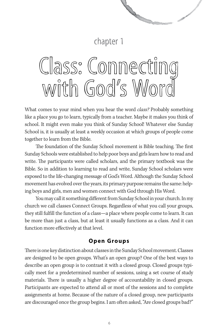## chapter 1

**Contract on the Contract of the Contract of The Contract of The Contract of The Contract of The Contract of The Contract of The Contract of The Contract of The Contract of The Contract of The Contract of The Contract of T** 

## Class: Connecting with God's Word

What comes to your mind when you hear the word *class*? Probably something like a place you go to learn, typically from a teacher. Maybe it makes you think of school. It might even make you think of Sunday School! Whatever else Sunday School is, it is usually at least a weekly occasion at which groups of people come together to learn from the Bible.

The foundation of the Sunday School movement is Bible teaching. The first Sunday Schools were established to help poor boys and girls learn how to read and write. The participants were called scholars, and the primary textbook was the Bible. So in addition to learning to read and write, Sunday School scholars were exposed to the life-changing message of God's Word. Although the Sunday School movement has evolved over the years, its primary purpose remains the same: helping boys and girls, men and women connect with God through His Word.

You may call it something different from Sunday School in your church. In my church we call classes Connect Groups. Regardless of what you call your groups, they still fulfill the function of a class—a place where people come to learn. It can be more than just a class, but at least it usually functions as a class. And it can function more effectively at that level.

#### **Open Groups**

There is one key distinction about classes in the Sunday School movement. Classes are designed to be open groups. What's an open group? One of the best ways to describe an open group is to contrast it with a closed group. Closed groups typically meet for a predetermined number of sessions, using a set course of study materials. There is usually a higher degree of accountability in closed groups. Participants are expected to attend all or most of the sessions and to complete assignments at home. Because of the nature of a closed group, new participants are discouraged once the group begins. I am often asked, "Are closed groups bad?"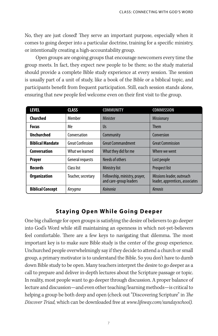No, they are just closed! They serve an important purpose, especially when it comes to going deeper into a particular doctrine, training for a specific ministry, or intentionally creating a high-accountability group.

Open groups are ongoing groups that encourage newcomers every time the group meets. In fact, they expect new people to be there; so the study material should provide a complete Bible study experience at every session. The session is usually part of a unit of study, like a book of the Bible or a biblical topic, and participants benefit from frequent participation. Still, each session stands alone, ensuring that new people feel welcome even on their first visit to the group.

| <b>LEVEL</b>            | <b>CLASS</b>            | <b>COMMUNITY</b>                                        | <b>COMMISSION</b>                                            |
|-------------------------|-------------------------|---------------------------------------------------------|--------------------------------------------------------------|
| Churched                | Member                  | <b>Minister</b>                                         | <b>Missionary</b>                                            |
| <b>Focus</b>            | Me                      | Us                                                      | <b>Them</b>                                                  |
| <b>Unchurched</b>       | Conversation            | Community                                               | Conversion                                                   |
| <b>Biblical Mandate</b> | <b>Great Confession</b> | <b>Great Commandment</b>                                | <b>Great Commission</b>                                      |
| Conversation            | What we learned         | What they did for me                                    | Where we went                                                |
| <b>Prayer</b>           | General requests        | Needs of others                                         | Lost people                                                  |
| <b>Records</b>          | Class list              | <b>Ministry list</b>                                    | <b>Prospect list</b>                                         |
| <b>Organization</b>     | Teacher, secretary      | Fellowship, ministry, prayer,<br>and care-group leaders | Missions leader, outreach<br>leader, apprentices, associates |
| <b>Biblical Concept</b> | Kerygma                 | Koinonia                                                | Kenosis                                                      |

#### **Staying Open While Going Deeper**

One big challenge for open groups is satisfying the desire of believers to go deeper into God's Word while still maintaining an openness in which not-yet-believers feel comfortable. There are a few keys to navigating that dilemma. The most important key is to make sure Bible study is the center of the group experience. Unchurched people overwhelmingly say if they decide to attend a church or small group, a primary motivator is to understand the Bible. So you don't have to dumb down Bible study to be open. Many teachers interpret the desire to go deeper as a call to prepare and deliver in-depth lectures about the Scripture passage or topic. In reality, most people want to go deeper through discussion. A proper balance of lecture and discussion—and even other teaching/learning methods—is critical to helping a group be both deep and open (check out "Discovering Scripture" in The Discover Triad, which can be downloaded free at www.lifeway.com/sundayschool).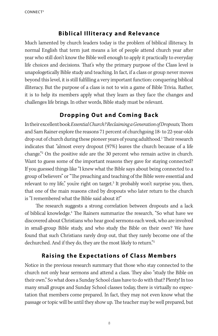#### **Biblical Illiteracy and Relevance**

Much lamented by church leaders today is the problem of biblical illiteracy. In normal English that term just means a lot of people attend church year after year who still don't know the Bible well enough to apply it practically to everyday life choices and decisions. That's why the primary purpose of the Class level is unapologetically Bible study and teaching. In fact, if a class or group never moves beyond this level, it is still fulfilling a very important function: conquering biblical illiteracy. But the purpose of a class is not to win a game of Bible Trivia. Rather, it is to help its members apply what they learn as they face the changes and challenges life brings. In other words, Bible study must be relevant.

## **Dropping Out and Coming Back**

In their excellent book Essential Church? Reclaiming a Generation of Dropouts, Thom and Sam Rainer explore the reasons 71 percent of churchgoing 18- to 22-year-olds drop out of church during these pioneer years of young adulthood.<sup>1</sup> Their research indicates that "almost every dropout (97%) leaves the church because of a life change."<sup>2</sup> On the positive side are the 30 percent who remain active in church. Want to guess some of the important reasons they gave for staying connected? If you guessed things like "I knew what the Bible says about being connected to a group of believers" or "The preaching and teaching of the Bible were essential and relevant to my life," you're right on target.<sup>3</sup> It probably won't surprise you, then, that one of the main reasons cited by dropouts who later return to the church is "I remembered what the Bible said about it!"

The research suggests a strong correlation between dropouts and a lack of biblical knowledge.<sup>4</sup> The Rainers summarize the research, "So what have we discovered about Christians who hear good sermons each week, who are involved in small-group Bible study, and who study the Bible on their own? We have found that such Christians rarely drop out, that they rarely become one of the dechurched. And if they do, they are the most likely to return."<sup>5</sup>

## **Raising the Expectations of Class Members**

Notice in the previous research summary that those who stay connected to the church not only hear sermons and attend a class. They also "study the Bible on their own." So what does a Sunday School class have to do with that? Plenty! In too many small groups and Sunday School classes today, there is virtually no expectation that members come prepared. In fact, they may not even know what the passage or topic will be until they show up. The teacher may be well prepared, but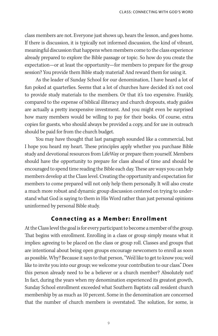class members are not. Everyone just shows up, hears the lesson, and goes home. If there is discussion, it is typically not informed discussion, the kind of vibrant, meaningful discussion that happens when members come to the class experience already prepared to explore the Bible passage or topic. So how do you create the expectation—or at least the opportunity—for members to prepare for the group session? You provide them Bible study material! And reward them for using it.

As the leader of Sunday School for our denomination, I have heard a lot of fun poked at quarterlies. Seems that a lot of churches have decided it's not cool to provide study materials to the members. Or that it's too expensive. Frankly, compared to the expense of biblical illiteracy and church dropouts, study guides are actually a pretty inexpensive investment. And you might even be surprised how many members would be willing to pay for their books. Of course, extra copies for guests, who should always be provided a copy, and for use in outreach should be paid for from the church budget.

You may have thought that last paragraph sounded like a commercial, but I hope you heard my heart. These principles apply whether you purchase Bible study and devotional resources from LifeWay or prepare them yourself. Members should have the opportunity to prepare for class ahead of time and should be encouraged to spend time reading the Bible each day. These are ways you can help members develop at the Class level. Creating the opportunity and expectation for members to come prepared will not only help them personally. It will also create a much more robust and dynamic group discussion centered on trying to understand what God is saying to them in His Word rather than just personal opinions uninformed by personal Bible study.

#### **Connecting as a Member: Enrollment**

At the Class level the goal is for every participant to become a member of the group. That begins with enrollment. Enrolling in a class or group simply means what it implies: agreeing to be placed on the class or group roll. Classes and groups that are intentional about being open groups encourage newcomers to enroll as soon as possible. Why? Because it says to that person, "We'd like to get to know you; we'd like to invite you into our group; we welcome your contribution to our class." Does this person already need to be a believer or a church member? Absolutely not! In fact, during the years when my denomination experienced its greatest growth, Sunday School enrollment exceeded what Southern Baptists call resident church membership by as much as 10 percent. Some in the denomination are concerned that the number of church members is overstated. The solution, for some, is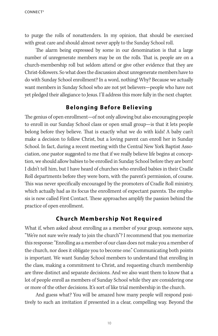to purge the rolls of nonattenders. In my opinion, that should be exercised with great care and should almost never apply to the Sunday School roll.

The alarm being expressed by some in our denomination is that a large number of unregenerate members may be on the rolls. That is, people are on a church-membership roll but seldom attend or give other evidence that they are Christ-followers. So what does the discussion about unregenerate members have to do with Sunday School enrollment? In a word, nothing! Why? Because we actually want members in Sunday School who are not yet believers—people who have not yet pledged their allegiance to Jesus. I'll address this more fully in the next chapter.

#### **Belonging Before Believing**

The genius of open enrollment—of not only allowing but also encouraging people to enroll in our Sunday School class or open small group—is that it lets people belong before they believe. That is exactly what we do with kids! A baby can't make a decision to follow Christ, but a loving parent can enroll her in Sunday School. In fact, during a recent meeting with the Central New York Baptist Association, one pastor suggested to me that if we really believe life begins at conception, we should allow babies to be enrolled in Sunday School before they are born! I didn't tell him, but I have heard of churches who enrolled babies in their Cradle Roll departments before they were born, with the parent's permission, of course. This was never specifically encouraged by the promoters of Cradle Roll ministry, which actually had as its focus the enrollment of expectant parents. The emphasis is now called First Contact. These approaches amplify the passion behind the practice of open enrollment.

#### **Church Membership Not Required**

What if, when asked about enrolling as a member of your group, someone says, "We're not sure we're ready to join the church"? I recommend that you memorize this response: "Enrolling as a member of our class does not make you a member of the church, nor does it obligate you to become one." Communicating both points is important. We want Sunday School members to understand that enrolling in the class, making a commitment to Christ, and requesting church membership are three distinct and separate decisions. And we also want them to know that a lot of people enroll as members of Sunday School while they are considering one or more of the other decisions. It's sort of like trial membership in the church.

And guess what? You will be amazed how many people will respond positively to such an invitation if presented in a clear, compelling way. Beyond the

10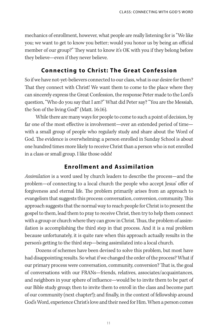mechanics of enrollment, however, what people are really listening for is "We like you; we want to get to know you better; would you honor us by being an official member of our group?" They want to know it's OK with you if they belong before they believe—even if they never believe.

#### **Connecting to Christ: The Great Confession**

So if we have not-yet-believers connected to our class, what is our desire for them? That they connect with Christ! We want them to come to the place where they can sincerely express the Great Confession, the response Peter made to the Lord's question, "Who do you say that I am?" What did Peter say? "You are the Messiah, the Son of the living God!" (Matt. 16:16).

While there are many ways for people to come to such a point of decision, by far one of the most effective is involvement—over an extended period of time with a small group of people who regularly study and share about the Word of God. The evidence is overwhelming: a person enrolled in Sunday School is about one hundred times more likely to receive Christ than a person who is not enrolled in a class or small group. I like those odds!

## **Enrollment and Assimilation**

Assimilation is a word used by church leaders to describe the process—and the problem—of connecting to a local church the people who accept Jesus' offer of forgiveness and eternal life. The problem primarily arises from an approach to evangelism that suggests this process: conversation, conversion, community. This approach suggests that the normal way to reach people for Christ is to present the gospel to them, lead them to pray to receive Christ, then try to help them connect with a group or church where they can grow in Christ. Thus, the problem of assimilation is accomplishing the third step in that process. And it is a real problem because unfortunately, it is quite rare when this approach actually results in the person's getting to the third step—being assimilated into a local church.

Dozens of schemes have been devised to solve this problem, but most have had disappointing results. So what if we changed the order of the process? What if our primary process were conversation, community, conversion? That is, the goal of conversations with our FRANs—friends, relatives, associates/acquaintances, and neighbors in your sphere of influence—would be to invite them to be part of our Bible study group; then to invite them to enroll in the class and become part of our community (next chapter!); and finally, in the context of fellowship around God's Word, experience Christ's love and their need for Him. When a person comes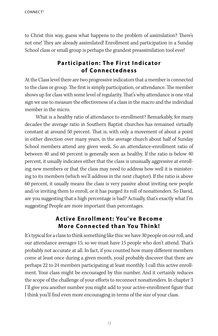to Christ this way, guess what happens to the problem of assimilation? There's not one! They are already assimilated! Enrollment and participation in a Sunday School class or small group is perhaps the grandest preassimilation tool ever!

## **Participation: The First Indicator of Connectedness**

At the Class level there are two progressive indicators that a member is connected to the class or group. The first is simply participation, or attendance. The member shows up for class with some level of regularity. That's why attendance is one vital sign we use to measure the effectiveness of a class in the macro and the individual member in the micro.

What is a healthy ratio of attendance to enrollment? Remarkably, for many decades the average ratio in Southern Baptist churches has remained virtually constant at around 50 percent. That is, with only a movement of about a point in either direction over many years, in the average church about half of Sunday School members attend any given week. So an attendance-enrollment ratio of between 40 and 60 percent is generally seen as healthy. If the ratio is below 40 percent, it usually indicates either that the class is unusually aggressive at enrolling new members or that the class may need to address how well it is ministering to its members (which we'll address in the next chapter). If the ratio is above 60 percent, it usually means the class is very passive about inviting new people and/or inviting them to enroll, or it has purged its roll of nonattenders. So David, are you suggesting that a high percentage is bad? Actually, that's exactly what I'm suggesting! People are more important than percentages.

## Active Enrollment: You've Become **More Connected than You Think!**

It's typical for a class to think something like this: we have 30 people on our roll, and our attendance averages 15; so we must have 15 people who don't attend. That's probably not accurate at all. In fact, if you counted how many different members come at least once during a given month, you'd probably discover that there are perhaps 22 to 24 members participating at least monthly. I call this active enrollment. Your class might be encouraged by this number. And it certainly reduces the scope of the challenge of your efforts to reconnect nonattenders. In chapter 3 I'll give you another number you might add to your active-enrollment figure that I think you'll find even more encouraging in terms of the size of your class.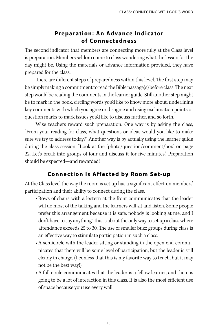## **Preparation: An Advance Indicator of Connectedness**

The second indicator that members are connecting more fully at the Class level is preparation. Members seldom come to class wondering what the lesson for the day might be. Using the materials or advance information provided, they have prepared for the class.

There are different steps of preparedness within this level. The first step may be simply making a commitment to read the Bible passage(s) before class. The next step would be reading the comments in the learner guide. Still another step might be to mark in the book, circling words you'd like to know more about, underlining key comments with which you agree or disagree and using exclamation points or question marks to mark issues you'd like to discuss further, and so forth.

Wise teachers reward such preparation. One way is by asking the class, "From your reading for class, what questions or ideas would you like to make sure we try to address today?" Another way is by actually using the learner guide during the class session: "Look at the [photo/question/comment/box] on page 22. Let's break into groups of four and discuss it for five minutes." Preparation should be expected—and rewarded!

## **Connection Is Affected by Room Set-up**

At the Class level the way the room is set up has a significant effect on members' participation and their ability to connect during the class.

- Rows of chairs with a lectern at the front communicates that the leader will do most of the talking and the learners will sit and listen. Some people prefer this arrangement because it is safe: nobody is looking at me, and I don't have to say anything! This is about the only way to set up a class where attendance exceeds 25 to 30. The use of smaller buzz groups during class is an effective way to stimulate participation in such a class.
- A semicircle with the leader sitting or standing in the open end communicates that there will be some level of participation, but the leader is still clearly in charge. (I confess that this is my favorite way to teach, but it may not be the best way!)
- A full circle communicates that the leader is a fellow learner, and there is going to be a lot of interaction in this class. It is also the most efficient use of space because you use every wall.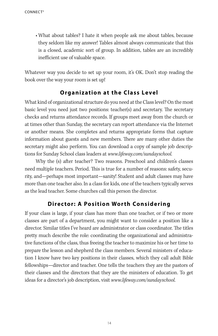• What about tables? I hate it when people ask me about tables, because they seldom like my answer! Tables almost always communicate that this is a closed, academic sort of group. In addition, tables are an incredibly inefficient use of valuable space.

Whatever way you decide to set up your room, it's OK. Don't stop reading the book over the way your room is set up!

## **Organization at the Class Level**

What kind of organizational structure do you need at the Class level? On the most basic level you need just two positions: teacher(s) and secretary. The secretary checks and returns attendance records. If groups meet away from the church or at times other than Sunday, the secretary can report attendance via the Internet or another means. She completes and returns appropriate forms that capture information about guests and new members. There are many other duties the secretary might also perform. You can download a copy of sample job descriptions for Sunday School class leaders at www.lifeway.com/sundayschool.

Why the (s) after teacher? Two reasons. Preschool and children's classes need multiple teachers. Period. This is true for a number of reasons: safety, security, and—perhaps most important—sanity! Student and adult classes may have more than one teacher also. In a class for kids, one of the teachers typically serves as the lead teacher. Some churches call this person the director.

## **Director: A Position Worth Considering**

If your class is large, if your class has more than one teacher, or if two or more classes are part of a department, you might want to consider a position like a director. Similar titles I've heard are administrator or class coordinator. The titles pretty much describe the role: coordinating the organizational and administrative functions of the class, thus freeing the teacher to maximize his or her time to prepare the lesson and shepherd the class members. Several ministers of education I know have two key positions in their classes, which they call adult Bible fellowships—director and teacher. One tells the teachers they are the pastors of their classes and the directors that they are the ministers of education. To get ideas for a director's job description, visit www.lifeway.com/sundayschool.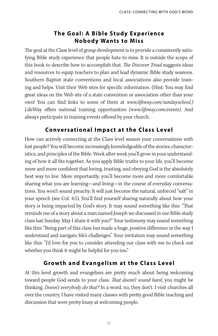## **The G oal: A Bible Study Experience Nobody Wants to Miss**

The goal at the Class level of group development is to provide a consistently satisfying Bible study experience that people hate to miss. It is outside the scope of this book to describe how to accomplish that. The Discover Triad suggests ideas and resources to equip teachers to plan and lead dynamic Bible study sessions. Southern Baptist state conventions and local associations also provide training and helps. Visit their Web sites for specific information. (Hint: You may find great ideas on the Web site of a state convention or association other than your own! You can find links to some of them at www.lifeway.com/sundayschool.) LifeWay offers national training opportunities (www.lifeway.com/events). And always participate in training events offered by your church.

## **Conversational Impact at the Class Level**

How can actively connecting at the Class level season your conversations with lost people? You will become increasingly knowledgeable of the stories, characteristics, and principles of the Bible. Week after week you'll grow in your understanding of how it all fits together. As you apply Bible truths to your life, you'll become more and more confident that loving, trusting, and obeying God is the absolutely best way to live. More importantly, you'll become more and more comfortable sharing what you are learning—and living—in the course of everyday conversations. You won't sound preachy. It will just become the natural, unforced "salt" in your speech (see Col. 4:5). You'll find yourself sharing naturally about how your story is being impacted by God's story. It may sound something like this: "That reminds me of a story about a man named Joseph we discussed in our Bible study class last Sunday. May I share it with you?" Your testimony may sound something like this: "Being part of this class has made a huge, positive difference in the way I understand and navigate life's challenges." Your invitation may sound something like this: "I'd love for you to consider attending our class with me to check out whether you think it might be helpful for you too."

## **Growth and Evangelism at the Class Level**

At this level growth and evangelism are pretty much about being welcoming toward people God sends to your class. That doesn't sound hard, you might be thinking. Doesn't everybody do that? In a word, no, they don't. I visit churches all over the country. I have visited many classes with pretty good Bible teaching and discussion that were pretty lousy at welcoming people.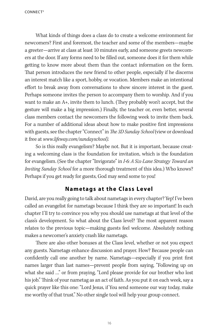CONNECT<sup>3</sup>

What kinds of things does a class do to create a welcome environment for newcomers? First and foremost, the teacher and some of the members—maybe a greeter—arrive at class at least 10 minutes early, and someone greets newcomers at the door. If any forms need to be filled out, someone does it for them while getting to know more about them than the contact information on the form. That person introduces the new friend to other people, especially if he discerns an interest match like a sport, hobby, or vocation. Members make an intentional effort to break away from conversations to show sincere interest in the guest. Perhaps someone invites the person to accompany them to worship. And if you want to make an A+, invite them to lunch. (They probably won't accept, but the gesture will make a big impression.) Finally, the teacher or, even better, several class members contact the newcomers the following week to invite them back. For a number of additional ideas about how to make positive first impressions with guests, see the chapter "Connect" in The 3D Sunday School (view or download it free at www.lifeway.com/sundayschool).

So is this really evangelism? Maybe not. But it is important, because creating a welcoming class is the foundation for invitation, which is the foundation for evangelism. (See the chapter "Invigorate" in I-6: A Six-Lane Strategy Toward an Inviting Sunday School for a more thorough treatment of this idea.) Who knows? Perhaps if you get ready for guests, God may send some to you!

#### **Nametags at the Class Level**

David, are you really going to talk about nametags in every chapter? Yep! I've been called an evangelist for nametags because I think they are so important! In each chapter I'll try to convince you why you should use nametags at that level of the class's development. So what about the Class level? The most apparent reason relates to the previous topic—making guests feel welcome. Absolutely nothing makes a newcomer's anxiety crash like nametags.

There are also other bonuses at the Class level, whether or not you expect any guests. Nametags enhance discussion and prayer. How? Because people can confidently call one another by name. Nametags—especially if you print first names larger than last names—prevent people from saying, "Following up on what she said …" or from praying, "Lord please provide for our brother who lost his job." Think of your nametag as an act of faith. As you put it on each week, say a quick prayer like this one: "Lord Jesus, if You send someone our way today, make me worthy of that trust." No other single tool will help your group connect.

16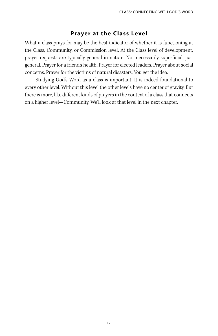#### **Prayer at the Class Level**

What a class prays for may be the best indicator of whether it is functioning at the Class, Community, or Commission level. At the Class level of development, prayer requests are typically general in nature. Not necessarily superficial, just general. Prayer for a friend's health. Prayer for elected leaders. Prayer about social concerns. Prayer for the victims of natural disasters. You get the idea.

Studying God's Word as a class is important. It is indeed foundational to every other level. Without this level the other levels have no center of gravity. But there is more, like different kinds of prayers in the context of a class that connects on a higher level—Community. We'll look at that level in the next chapter.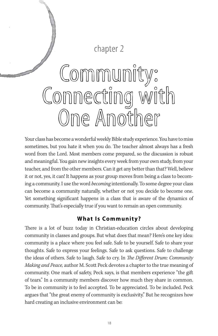## chapter 2

## Community: Connecting with One Another

Your class has become a wonderful weekly Bible study experience. You have to miss sometimes, but you hate it when you do. The teacher almost always has a fresh word from the Lord. Most members come prepared, so the discussion is robust and meaningful. You gain new insights every week from your own study, from your teacher, and from the other members. Can it get any better than that? Well, believe it or not, yes, it can! It happens as your group moves from being a class to becoming a community. I use the word *becoming* intentionally. To some degree your class can become a community naturally, whether or not you decide to become one. Yet something significant happens in a class that is aware of the dynamics of community. That's especially true if you want to remain an open community.

## **What Is Community?**

There is a lot of buzz today in Christian-education circles about developing community in classes and groups. But what does that mean? Here's one key idea: community is a place where you feel safe. Safe to be yourself. Safe to share your thoughts. Safe to express your feelings. Safe to ask questions. Safe to challenge the ideas of others. Safe to laugh. Safe to cry. In The Different Drum: Community Making and Peace, author M. Scott Peck devotes a chapter to the true meaning of community. One mark of safety, Peck says, is that members experience "the gift of tears." In a community members discover how much they share in common. To be in community is to feel accepted. To be appreciated. To be included. Peck argues that "the great enemy of community is exclusivity." But he recognizes how hard creating an inclusive environment can be: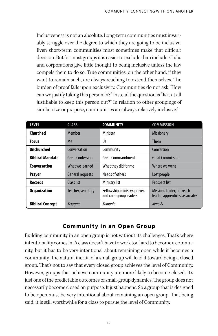Inclusiveness is not an absolute. Long-term communities must invariably struggle over the degree to which they are going to be inclusive. Even short-term communities must sometimes make that difficult decision. But for most groups it is easier to exclude than include. Clubs and corporations give little thought to being inclusive unless the law compels them to do so. True communities, on the other hand, if they want to remain such, are always reaching to extend themselves. The burden of proof falls upon exclusivity. Communities do not ask "How can we justify taking this person in?" Instead the question is "Is it at all justifiable to keep this person out?" In relation to other groupings of similar size or purpose, communities are always relatively inclusive.<sup>6</sup>

| LEVEL                   | <b>CLASS</b>            | <b>COMMUNITY</b>                                        | <b>COMMISSION</b>                                            |
|-------------------------|-------------------------|---------------------------------------------------------|--------------------------------------------------------------|
| Churched                | Member                  | Minister                                                | <b>Missionary</b>                                            |
| <b>Focus</b>            | Me                      | Us                                                      | <b>Them</b>                                                  |
| <b>Unchurched</b>       | Conversation            | Community                                               | Conversion                                                   |
| <b>Biblical Mandate</b> | <b>Great Confession</b> | Great Commandment                                       | <b>Great Commission</b>                                      |
| Conversation            | What we learned         | What they did for me                                    | Where we went                                                |
| <b>Prayer</b>           | <b>General requests</b> | Needs of others                                         | Lost people                                                  |
| <b>Records</b>          | Class list              | Ministry list                                           | <b>Prospect list</b>                                         |
| <b>Organization</b>     | Teacher, secretary      | Fellowship, ministry, prayer,<br>and care-group leaders | Missions leader, outreach<br>leader, apprentices, associates |
| <b>Biblical Concept</b> | <b>Kerygma</b>          | Koinonia                                                | Kenosis                                                      |

## **Community in an Open Group**

Building community in an open group is not without its challenges. That's where intentionality comes in. A class doesn't have to work too hard to become a community, but it has to be very intentional about remaining open while it becomes a community. The natural inertia of a small group will lead it toward being a closed group. That's not to say that every closed group achieves the level of Community. However, groups that achieve community are more likely to become closed. It's just one of the predictable outcomes of small-group dynamics. The group does not necessarily become closed on purpose. It just happens. So a group that is designed to be open must be very intentional about remaining an open group. That being said, it is still worthwhile for a class to pursue the level of Community.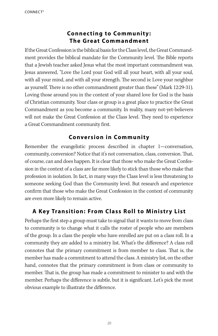## **Connecting to Community: The Great Commandment**

If the Great Confession is the biblical basis for the Class level, the Great Commandment provides the biblical mandate for the Community level. The Bible reports that a Jewish teacher asked Jesus what the most important commandment was. Jesus answered, "Love the Lord your God will all your heart, with all your soul, with all your mind, and with all your strength. The second is: Love your neighbor as yourself. There is no other commandment greater than these" (Mark 12:29-31). Loving those around you in the context of your shared love for God is the basis of Christian community. Your class or group is a great place to practice the Great Commandment as you become a community. In reality, many not-yet-believers will not make the Great Confession at the Class level. They need to experience a Great Commandment community first.

## **Conversion in Community**

Remember the evangelistic process described in chapter 1—conversation, community, conversion? Notice that it's not conversation, class, conversion. That, of course, can and does happen. It is clear that those who make the Great Confession in the context of a class are far more likely to stick than those who make that profession in isolation. In fact, in many ways the Class level is less threatening to someone seeking God than the Community level. But research and experience confirm that those who make the Great Confession in the context of community are even more likely to remain active.

## **A Key Transition: From Class Roll to Ministry List**

Perhaps the first step a group must take to signal that it wants to move from class to community is to change what it calls the roster of people who are members of the group. In a class the people who have enrolled are put on a class roll. In a community they are added to a ministry list. What's the difference? A class roll connotes that the primary commitment is from member to class. That is, the member has made a commitment to attend the class. A ministry list, on the other hand, connotes that the primary commitment is from class or community to member. That is, the group has made a commitment to minister to and with the member. Perhaps the difference is subtle, but it is significant. Let's pick the most obvious example to illustrate the difference.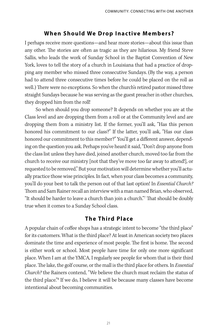## **When Should We Drop Inactive Members?**

I perhaps receive more questions—and hear more stories—about this issue than any other. The stories are often as tragic as they are hilarious. My friend Steve Sallis, who leads the work of Sunday School in the Baptist Convention of New York, loves to tell the story of a church in Louisiana that had a practice of dropping any member who missed three consecutive Sundays. (By the way, a person had to attend three consecutive times before he could be placed on the roll as well.) There were no exceptions. So when the church's retired pastor missed three straight Sundays because he was serving as the guest preacher in other churches, they dropped him from the roll!

So when should you drop someone? It depends on whether you are at the Class level and are dropping them from a roll or at the Community level and are dropping them from a ministry list. If the former, you'll ask, "Has this person honored his commitment to our class?" If the latter, you'll ask, "Has our class honored our commitment to this member?" You'll get a different answer, depending on the question you ask. Perhaps you've heard it said, "Don't drop anyone from the class list unless they have died, joined another church, moved too far from the church to receive our ministry [not that they've move too far away to attend!], or requested to be removed." But your motivation will determine whether you'll actually practice those wise principles. In fact, when your class becomes a community, you'll do your best to talk the person out of that last option! In *Essential Church?* Thom and Sam Rainer recall an interview with a man named Brian, who observed, "It should be harder to leave a church than join a church."<sup>7</sup> That should be doubly true when it comes to a Sunday School class.

## **The Third Place**

A popular chain of coffee shops has a strategic intent to become "the third place" for its customers. What is the third place? At least in American society two places dominate the time and experience of most people. The first is home. The second is either work or school. Most people have time for only one more significant place. When I am at the YMCA, I regularly see people for whom that is their third place. The lake, the golf course, or the mall is the third place for others. In *Essential* Church? the Rainers contend, "We believe the church must reclaim the status of the third place."<sup>8</sup> If we do, I believe it will be because many classes have become intentional about becoming communities.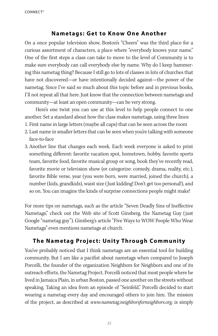#### **Nametags: Get to Know One Another**

On a once popular television show, Boston's "Cheers" was the third place for a curious assortment of characters, a place where "everybody knows your name." One of the first steps a class can take to move to the level of Community is to make sure everybody can call everybody else by name. Why do I keep hammering this nametag thing? Because I still go to lots of classes in lots of churches that have not discovered—or have intentionally decided against—the power of the nametag. Since I've said so much about this topic before and in previous books, I'll not repeat all that here. Just know that the connection between nametags and community—at least an open community—can be very strong.

Here's one twist you can use at this level to help people connect to one another. Set a standard about how the class makes nametags, using three lines:

- 1. First name in large letters (maybe all caps) that can be seen across the room
- 2. Last name in smaller letters that can be seen when you're talking with someone face-to-face
- 3. Another line that changes each week. Each week everyone is asked to print something different: favorite vacation spot, hometown, hobby, favorite sports team, favorite food, favorite musical group or song, book they've recently read, favorite movie or television show (or categorize: comedy, drama, reality, etc.), favorite Bible verse, year (you were born, were married, joined the church), a number (kids, grandkids), waist size (Just kidding! Don't get too personal!), and so on. You can imagine the kinds of surprise connections people might make!

For more tips on nametags, such as the article "Seven Deadly Sins of Ineffective Nametags," check out the Web site of Scott Ginsberg, the Nametag Guy (just Google "nametag guy"). Ginsberg's article "Five Ways to WOW People Who Wear Nametags" even mentions nametags at church.

## **The Nametag Project: Unity Through Community**

You've probably noticed that I think nametags are an essential tool for building community. But I am like a pacifist about nametags when compared to Joseph Porcelli, the founder of the organization Neighbors for Neighbors and one of its outreach efforts, the Nametag Project. Porcelli noticed that most people where he lived in Jamaica Plain, in urban Boston, passed one another on the streets without speaking. Taking an idea from an episode of "Seinfeld," Porcelli decided to start wearing a nametag every day and encouraged others to join him. The mission of the project, as described at www.nametag.neighborsforneighbors.org, is simply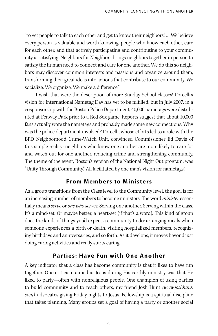"to get people to talk to each other and get to know their neighbors! … We believe every person is valuable and worth knowing, people who know each other, care for each other, and that actively participating and contributing to your community is satisfying. Neighbors for Neighbors brings neighbors together in person to satisfy the human need to connect and care for one another. We do this so neighbors may discover common interests and passions and organize around them, transforming their great ideas into actions that contribute to our community. We socialize. We organize. We make a difference."

I wish that were the description of more Sunday School classes! Porcelli's vision for International Nametag Day has yet to be fulfilled, but in July 2007, in a cosponsorship with the Boston Police Department, 40,000 nametags were distributed at Fenway Park prior to a Red Sox game. Reports suggest that about 10,000 fans actually wore the nametags and probably made some new connections. Why was the police department involved? Porcelli, whose efforts led to a role with the BPD Neighborhood Crime-Watch Unit, convinced Commissioner Ed Davis of this simple reality: neighbors who know one another are more likely to care for and watch out for one another, reducing crime and strengthening community. The theme of the event, Boston's version of the National Night Out program, was "Unity Through Community." All facilitated by one man's vision for nametags!

#### **From Members to Ministers**

As a group transitions from the Class level to the Community level, the goal is for an increasing number of members to become ministers. The word *minister* essentially means serve or one who serves. Serving one another. Serving within the class. It's a mind-set. Or maybe better, a heart-set (if that's a word). This kind of group does the kinds of things you'd expect a community to do: arranging meals when someone experiences a birth or death, visiting hospitalized members, recognizing birthdays and anniversaries, and so forth. As it develops, it moves beyond just doing caring activities and really starts caring.

#### **Parties: Have Fun with One Another**

A key indicator that a class has become community is that it likes to have fun together. One criticism aimed at Jesus during His earthly ministry was that He liked to party—often with nonreligious people. One champion of using parties to build community and to reach others, my friend Josh Hunt (www.joshhunt. com), advocates giving Friday nights to Jesus. Fellowship is a spiritual discipline that takes planning. Many groups set a goal of having a party or another social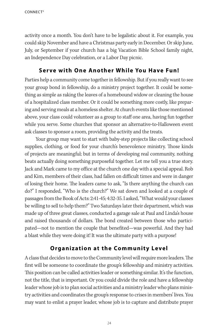activity once a month. You don't have to be legalistic about it. For example, you could skip November and have a Christmas party early in December. Or skip June, July, or September if your church has a big Vacation Bible School family night, an Independence Day celebration, or a Labor Day picnic.

#### **Serve with One Another While You Have Fun!**

Parties help a community come together in fellowship. But if you really want to see your group bond in fellowship, do a ministry project together. It could be something as simple as raking the leaves of a homebound widow or cleaning the house of a hospitalized class member. Or it could be something more costly, like preparing and serving meals at a homeless shelter. At church events like those mentioned above, your class could volunteer as a group to staff one area, having fun together while you serve. Some churches that sponsor an alternative-to-Halloween event ask classes to sponsor a room, providing the activity and the treats.

Your group may want to start with baby-step projects like collecting school supplies, clothing, or food for your church's benevolence ministry. Those kinds of projects are meaningful; but in terms of developing real community, nothing beats actually doing something purposeful together. Let me tell you a true story. Jack and Mark came to my office at the church one day with a special appeal. Rob and Kim, members of their class, had fallen on difficult times and were in danger of losing their home. The leaders came to ask, "Is there anything the church can do?" I responded, "Who is the church?" We sat down and looked at a couple of passages from the Book of Acts: 2:41-45; 4:32-35. I asked, "What would your classes be willing to sell to help them?" Two Saturdays later their department, which was made up of three great classes, conducted a garage sale at Paul and Linda's house and raised thousands of dollars. The bond created between those who participated—not to mention the couple that benefited—was powerful. And they had a blast while they were doing it! It was the ultimate party with a purpose!

## **Organization at the Community Level**

A class that decides to move to the Community level will require more leaders. The first will be someone to coordinate the group's fellowship and ministry activities. This position can be called activities leader or something similar. It's the function, not the title, that is important. Or you could divide the role and have a fellowship leader whose job is to plan social activities and a ministry leader who plans ministry activities and coordinates the group's response to crises in members' lives. You may want to enlist a prayer leader, whose job is to capture and distribute prayer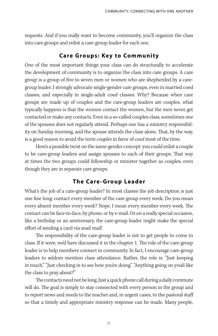requests. And if you really want to become community, you'll organize the class into care groups and enlist a care-group leader for each one.

## **Care Groups: Key to Community**

One of the most important things your class can do structurally to accelerate the development of community is to organize the class into care groups. A care group is a group of five to seven men or women who are shepherded by a caregroup leader. I strongly advocate single-gender care groups, even in married coed classes, and especially in single-adult coed classes. Why? Because when care groups are made up of couples and the care-group leaders are couples, what typically happens is that the women contact the women, but the men never get contacted or make any contacts. Even in a so-called couples class, sometimes one of the spouses does not regularly attend. Perhaps one has a ministry responsibility on Sunday morning, and the spouse attends the class alone. That, by the way, is a good reason to avoid the term *couples* in favor of *coed* most of the time.

Here's a possible twist on the same-gender concept: you could enlist a couple to be care-group leaders and assign spouses to each of their groups. That way at times the two groups could fellowship or minister together as couples, even though they are in separate care groups.

## **The Care-Group Leader**

What's the job of a care-group leader? In most classes the job description is just one line long: contact every member of the care group every week. Do you mean every absent member every week? Nope. I mean every member every week. The contact can be face-to-face, by phone, or by e-mail. Or on a really special occasion, like a birthday or an anniversary, the care-group leader might make the special effort of sending a card via snail mail!

The responsibility of the care-group leader is not to get people to come to class. If it were, we'd have discussed it in the chapter 1. The role of the care-group leader is to help members connect in community. In fact, I encourage care-group leaders to seldom mention class attendance. Rather, the role is: "Just keeping in touch." "Just checking in to see how you're doing." "Anything going on you'd like the class to pray about?"

The contacts need not be long. Just a quick phone call during a daily commute will do. The goal is simply to stay connected with every person in the group and to report news and needs to the teacher and, in urgent cases, to the pastoral staff so that a timely and appropriate ministry response can be made. Many people,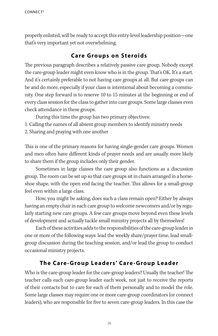properly enlisted, will be ready to accept this entry-level leadership position—one that's very important yet not overwhelming.

## **Care Groups on Steroids**

The previous paragraph describes a relatively passive care group. Nobody except the care-group leader might even know who is in the group. That's OK. It's a start. And it's certainly preferable to not having care groups at all. But care groups can be and do more, especially if your class is intentional about becoming a community. One step forward is to reserve 10 to 15 minutes at the beginning or end of every class session for the class to gather into care groups. Some large classes even check attendance in these groups.

During this time the group has two primary objectives:

- 1. Calling the names of all absent group members to identify ministry needs
- 2. Sharing and praying with one another

This is one of the primary reasons for having single-gender care groups. Women and men often have different kinds of prayer needs and are usually more likely to share them if the group includes only their gender.

Sometimes in large classes the care group also functions as a discussion group. The room can be set up so that care groups sit in chairs arranged in a horseshoe shape, with the open end facing the teacher. This allows for a small-group feel even within a large class.

How, you might be asking, does such a class remain open? Either by always having an empty chair in each care group to welcome newcomers and/or by regularly starting new care groups. A few care groups move beyond even these levels of development and actually tackle small ministry projects all by themselves!

Each of these activities adds to the responsibilities of the care-group leader in one or more of the following ways: lead the weekly share/prayer time, lead smallgroup discussion during the teaching session, and/or lead the group to conduct occasional ministry projects.

## **The Care-Group Leaders' Care-Group Leader**

Who is the care-group leader for the care-group leaders? Usually the teacher! The teacher calls each care-group leader each week, not just to receive the reports of their contacts but to care for each of them personally and to model the role. Some large classes may require one or more care-group coordinators (or connect leaders), who are responsible for five to seven care-group leaders. In this case the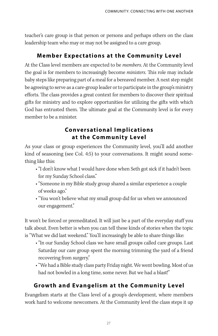teacher's care group is that person or persons and perhaps others on the class leadership team who may or may not be assigned to a care group.

## **Member Expectations at the Community Level**

At the Class level members are expected to be members. At the Community level the goal is for members to increasingly become *ministers*. This role may include baby steps like preparing part of a meal for a bereaved member. A next step might be agreeing to serve as a care-group leader or to participate in the group's ministry efforts. The class provides a great context for members to discover their spiritual gifts for ministry and to explore opportunities for utilizing the gifts with which God has entrusted them. The ultimate goal at the Community level is for every member to be a minister.

## **Conversational Implic ations at the Community Level**

As your class or group experiences the Community level, you'll add another kind of seasoning (see Col. 4:5) to your conversations. It might sound something like this:

- "I don't know what I would have done when Seth got sick if it hadn't been for my Sunday School class."
- "Someone in my Bible study group shared a similar experience a couple of weeks ago."
- "You won't believe what my small group did for us when we announced our engagement."

It won't be forced or premeditated. It will just be a part of the everyday stuff you talk about. Even better is when you can tell these kinds of stories when the topic is "What we did last weekend." You'll increasingly be able to share things like:

- "In our Sunday School class we have small groups called care groups. Last Saturday our care group spent the morning trimming the yard of a friend recovering from surgery."
- "We had a Bible study class party Friday night. We went bowling. Most of us had not bowled in a long time, some never. But we had a blast!"

## **Growth and Evangelism at the Community Level**

Evangelism starts at the Class level of a group's development, where members work hard to welcome newcomers. At the Community level the class steps it up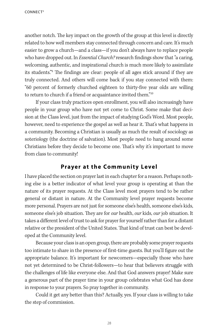another notch. The key impact on the growth of the group at this level is directly related to how well members stay connected through concern and care. It's much easier to grow a church—and a class—if you don't always have to replace people who have dropped out. In *Essential Church?* research findings show that "a caring, welcoming, authentic, and inspirational church is much more likely to assimilate its students."<sup>9</sup> The findings are clear: people of all ages stick around if they are truly connected. And others will come back if you stay connected with them: "60 percent of formerly churched eighteen to thirty-five year olds are willing to return to church if a friend or acquaintance invited them."<sup>10</sup>

If your class truly practices open enrollment, you will also increasingly have people in your group who have not yet come to Christ. Some make that decision at the Class level, just from the impact of studying God's Word. Most people, however, need to experience the gospel as well as hear it. That's what happens in a community. Becoming a Christian is usually as much the result of sociology as soteriology (the doctrine of salvation). Most people need to hang around some Christians before they decide to become one. That's why it's important to move from class to community!

#### **Prayer at the Community Level**

I have placed the section on prayer last in each chapter for a reason. Perhaps nothing else is a better indicator of what level your group is operating at than the nature of its prayer requests. At the Class level most prayers tend to be rather general or distant in nature. At the Community level prayer requests become more personal. Prayers are not just for someone else's health, someone else's kids, someone else's job situation. They are for *our* health, *our* kids, *our* job situation. It takes a different level of trust to ask for prayer for yourself rather than for a distant relative or the president of the United States. That kind of trust can best be developed at the Community level.

Because your class is an open group, there are probably some prayer requests too intimate to share in the presence of first-time guests. But you'll figure out the appropriate balance. It's important for newcomers—especially those who have not yet determined to be Christ-followers—to hear that believers struggle with the challenges of life like everyone else. And that God answers prayer! Make sure a generous part of the prayer time in your group celebrates what God has done in response to your prayers. So pray together in community.

Could it get any better than this? Actually, yes. If your class is willing to take the step of commission.

28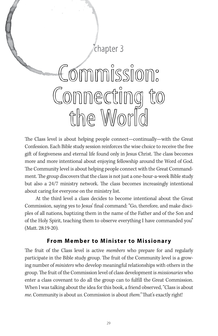

The Class level is about helping people connect—continually—with the Great Confession. Each Bible study session reinforces the wise choice to receive the free gift of forgiveness and eternal life found only in Jesus Christ. The class becomes more and more intentional about enjoying fellowship around the Word of God. The Community level is about helping people connect with the Great Commandment. The group discovers that the class is not just a one-hour-a-week Bible study but also a 24/7 ministry network. The class becomes increasingly intentional about caring for everyone on the ministry list.

At the third level a class decides to become intentional about the Great Commission, saying yes to Jesus' final command: "Go, therefore, and make disciples of all nations, baptizing them in the name of the Father and of the Son and of the Holy Spirit, teaching them to observe everything I have commanded you" (Matt. 28:19-20).

#### **From Member to Minister to Missionary**

The fruit of the Class level is active *members* who prepare for and regularly participate in the Bible study group. The fruit of the Community level is a growing number of *ministers* who develop meaningful relationships with others in the group. The fruit of the Commission level of class development is missionaries who enter a class covenant to do all the group can to fulfill the Great Commission. When I was talking about the idea for this book, a friend observed, "Class is about me. Community is about us. Commission is about them." That's exactly right!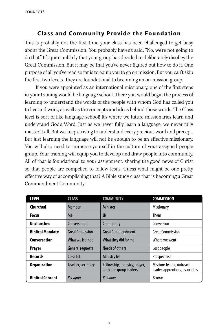## **Class and Community Provide the Foundation**

This is probably not the first time your class has been challenged to get busy about the Great Commission. You probably haven't said, "No, we're not going to do that." It's quite unlikely that your group has decided to deliberately disobey the Great Commission. But it may be that you've never figured out how to do it. One purpose of all you've read so far is to equip you to go on mission. But you can't skip the first two levels. They are foundational to becoming an on-mission group.

If you were appointed as an international missionary, one of the first steps in your training would be language school. There you would begin the process of learning to understand the words of the people with whom God has called you to live and work, as well as the concepts and ideas behind those words. The Class level is sort of like language school! It's where we future missionaries learn and understand God's Word. Just as we never fully learn a language, we never fully master it all. But we keep striving to understand every precious word and precept. But just learning the language will not be enough to be an effective missionary. You will also need to immerse yourself in the culture of your assigned people group. Your training will equip you to develop and draw people into community. All of that is foundational to your assignment: sharing the good news of Christ so that people are compelled to follow Jesus. Guess what might be one pretty effective way of accomplishing that? A Bible study class that is becoming a Great Commandment Community!

| <b>LEVEL</b>            | <b>CLASS</b>            | <b>COMMUNITY</b>                                        | <b>COMMISSION</b>                                            |
|-------------------------|-------------------------|---------------------------------------------------------|--------------------------------------------------------------|
| Churched                | Member                  | <b>Minister</b>                                         | <b>Missionary</b>                                            |
| <b>Focus</b>            | Me                      | Us                                                      | <b>Them</b>                                                  |
| <b>Unchurched</b>       | Conversation            | Community                                               | Conversion                                                   |
| <b>Biblical Mandate</b> | <b>Great Confession</b> | <b>Great Commandment</b>                                | <b>Great Commission</b>                                      |
| Conversation            | What we learned         | What they did for me                                    | Where we went                                                |
| <b>Prayer</b>           | <b>General requests</b> | Needs of others                                         | Lost people                                                  |
| <b>Records</b>          | Class list              | <b>Ministry list</b>                                    | <b>Prospect list</b>                                         |
| <b>Organization</b>     | Teacher, secretary      | Fellowship, ministry, prayer,<br>and care-group leaders | Missions leader, outreach<br>leader, apprentices, associates |
| <b>Biblical Concept</b> | <b>Kerygma</b>          | Koinonia                                                | Kenosis                                                      |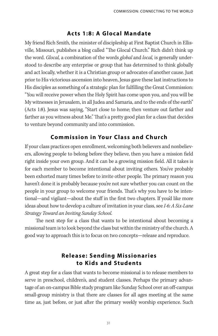#### **Acts 1:8: A Glocal Mandate**

My friend Rich Smith, the minister of discipleship at First Baptist Church in Ellisville, Missouri, publishes a blog called "The Glocal Church." Rich didn't think up the word. Glocal, a combination of the words global and local, is generally understood to describe any enterprise or group that has determined to think globally and act locally, whether it is a Christian group or advocates of another cause. Just prior to His victorious ascension into heaven, Jesus gave these last instructions to His disciples as something of a strategic plan for fulfilling the Great Commission: "You will receive power when the Holy Spirit has come upon you, and you will be My witnesses in Jerusalem, in all Judea and Samaria, and to the ends of the earth" (Acts 1:8). Jesus was saying, "Start close to home; then venture out farther and farther as you witness about Me." That's a pretty good plan for a class that decides to venture beyond community and into commission.

## **Commission in Your Class and Church**

If your class practices open enrollment, welcoming both believers and nonbelievers, allowing people to belong before they believe, then you have a mission field right inside your own group. And it can be a growing mission field. All it takes is for each member to become intentional about inviting others. You've probably been exhorted many times before to invite other people. The primary reason you haven't done it is probably because you're not sure whether you can count on the people in your group to welcome your friends. That's why you have to be intentional—and vigilant—about the stuff in the first two chapters. If you'd like more ideas about how to develop a culture of invitation in your class, see I-6: A Six-Lane Strategy Toward an Inviting Sunday School.

The next step for a class that wants to be intentional about becoming a missional team is to look beyond the class but within the ministry of the church. A good way to approach this is to focus on two concepts—release and reproduce.

## **Release: Sending Missionaries to Kids and Students**

A great step for a class that wants to become missional is to release members to serve in preschool, children's, and student classes. Perhaps the primary advantage of an on-campus Bible study program like Sunday School over an off-campus small-group ministry is that there are classes for all ages meeting at the same time as, just before, or just after the primary weekly worship experience. Such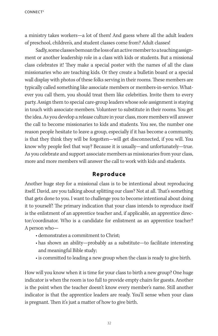a ministry takes workers—a lot of them! And guess where all the adult leaders of preschool, children's, and student classes come from? Adult classes!

Sadly, some classes bemoan the loss of an active member to a teaching assignment or another leadership role in a class with kids or students. But a missional class celebrates it! They make a special poster with the names of all the class missionaries who are teaching kids. Or they create a bulletin board or a special wall display with photos of these folks serving in their rooms. These members are typically called something like associate members or members-in-service. Whatever you call them, you should treat them like celebrities. Invite them to every party. Assign them to special care-group leaders whose sole assignment is staying in touch with associate members. Volunteer to substitute in their rooms. You get the idea. As you develop a release culture in your class, more members will answer the call to become missionaries to kids and students. You see, the number one reason people hesitate to leave a group, especially if it has become a community, is that they think they will be forgotten—will get disconnected, if you will. You know why people feel that way? Because it is usually—and unfortunately—true. As you celebrate and support associate members as missionaries from your class, more and more members will answer the call to work with kids and students.

#### **Reproduce**

Another huge step for a missional class is to be intentional about reproducing itself. David, are you talking about splitting our class? Not at all. That's something that gets done to you. I want to challenge you to become intentional about doing it to yourself! The primary indication that your class intends to reproduce itself is the enlistment of an apprentice teacher and, if applicable, an apprentice director/coordinator. Who is a candidate for enlistment as an apprentice teacher? A person who—

- demonstrates a commitment to Christ;
- has shown an ability—probably as a substitute—to facilitate interesting and meaningful Bible study;
- is committed to leading a new group when the class is ready to give birth.

How will you know when it is time for your class to birth a new group? One huge indicator is when the room is too full to provide empty chairs for guests. Another is the point when the teacher doesn't know every member's name. Still another indicator is that the apprentice leaders are ready. You'll sense when your class is pregnant. Then it's just a matter of how to give birth.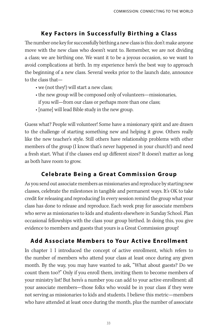## **Key Factors in Successfully Birthing a Class**

The number one key for successfully birthing a new class is this: don't make anyone move with the new class who doesn't want to. Remember, we are not dividing a class; we are birthing one. We want it to be a joyous occasion, so we want to avoid complications at birth. In my experience here's the best way to approach the beginning of a new class. Several weeks prior to the launch date, announce to the class that—

- we (not they!) will start a new class;
- the new group will be composed only of volunteers—missionaries, if you will—from our class or perhaps more than one class;
- [name] will lead Bible study in the new group.

Guess what? People will volunteer! Some have a missionary spirit and are drawn to the challenge of starting something new and helping it grow. Others really like the new teacher's style. Still others have relationship problems with other members of the group (I know that's never happened in your church!) and need a fresh start. What if the classes end up different sizes? It doesn't matter as long as both have room to grow.

## **Celebrate Being a Great Commission Group**

As you send out associate members as missionaries and reproduce by starting new classes, celebrate the milestones in tangible and permanent ways. It's OK to take credit for releasing and reproducing! In every session remind the group what your class has done to release and reproduce. Each week pray for associate members who serve as missionaries to kids and students elsewhere in Sunday School. Plan occasional fellowships with the class your group birthed. In doing this, you give evidence to members and guests that yours is a Great Commission group!

## **Add Associate Members to Your Active Enrollment**

In chapter 1 I introduced the concept of active enrollment, which refers to the number of members who attend your class at least once during any given month. By the way, you may have wanted to ask, "What about guests? Do we count them too?" Only if you enroll them, inviting them to become members of your ministry list! But here's a number you can add to your active enrollment: all your associate members—those folks who would be in your class if they were not serving as missionaries to kids and students. I believe this metric—members who have attended at least once during the month, plus the number of associate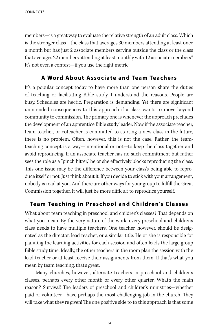CONNECT<sup>3</sup>

members—is a great way to evaluate the relative strength of an adult class. Which is the stronger class—the class that averages 30 members attending at least once a month but has just 2 associate members serving outside the class or the class that averages 22 members attending at least monthly with 12 associate members? It's not even a contest—if you use the right metric.

## **A Word About Associate and Team Teachers**

It's a popular concept today to have more than one person share the duties of teaching or facilitating Bible study. I understand the reasons. People are busy. Schedules are hectic. Preparation is demanding. Yet there are significant unintended consequences to this approach if a class wants to move beyond community to commission. The primary one is whenever the approach precludes the development of an apprentice Bible study leader. Now if the associate teacher, team teacher, or coteacher is committed to starting a new class in the future, there is no problem. Often, however, this is not the case. Rather, the teamteaching concept is a way—intentional or not—to keep the class together and avoid reproducing. If an associate teacher has no such commitment but rather sees the role as a "pinch hitter," he or she effectively blocks reproducing the class. This one issue may be the difference between your class's being able to reproduce itself or not. Just think about it. If you decide to stick with your arrangement, nobody is mad at you. And there are other ways for your group to fulfill the Great Commission together. It will just be more difficult to reproduce yourself.

## **Team Teaching in Preschool and Children's Classes**

What about team teaching in preschool and children's classes? That depends on what you mean. By the very nature of the work, every preschool and children's class needs to have multiple teachers. One teacher, however, should be designated as the director, lead teacher, or a similar title. He or she is responsible for planning the learning activities for each session and often leads the large group Bible study time. Ideally, the other teachers in the room plan the session with the lead teacher or at least receive their assignments from them. If that's what you mean by team teaching, that's great.

Many churches, however, alternate teachers in preschool and children's classes, perhaps every other month or every other quarter. What's the main reason? Survival! The leaders of preschool and children's ministries—whether paid or volunteer—have perhaps the most challenging job in the church. They will take what they're given! The one positive side to to this approach is that some

34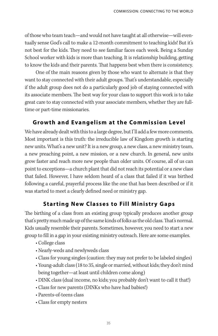of those who team teach—and would not have taught at all otherwise—will eventually sense God's call to make a 12-month commitment to teaching kids! But it's not best for the kids. They need to see familiar faces each week. Being a Sunday School worker with kids is more than teaching. It is relationship building, getting to know the kids and their parents. That happens best when there is consistency.

One of the main reasons given by those who want to alternate is that they want to stay connected with their adult groups. That's understandable, especially if the adult group does not do a particularly good job of staying connected with its associate members. The best way for your class to support this work is to take great care to stay connected with your associate members, whether they are fulltime or part-time missionaries.

#### **Growth and Evangelism at the Commission Level**

We have already dealt with this to a large degree, but I'll add a few more comments. Most important is this truth: the irreducible law of Kingdom growth is starting new units. What's a new unit? It is a new group, a new class, a new ministry team, a new preaching point, a new mission, or a new church. In general, new units grow faster and reach more new people than older units. Of course, all of us can point to exceptions—a church plant that did not reach its potential or a new class that failed. However, I have seldom heard of a class that failed if it was birthed following a careful, prayerful process like the one that has been described or if it was started to meet a clearly defined need or ministry gap.

## **Starting New Classes to Fill Ministry Gaps**

The birthing of a class from an existing group typically produces another group that's pretty much made up of the same kinds of folks as the old class. That's normal. Kids usually resemble their parents. Sometimes, however, you need to start a new group to fill in a gap in your existing ministry outreach. Here are some examples.

- College class
- Nearly-weds and newlyweds class
- Class for young singles (caution: they may not prefer to be labeled singles)
- Young-adult class (18 to 35, single or married, without kids; they don't mind being together—at least until children come along)
- DINK class (dual income, no kids; you probably don't want to call it that!)
- Class for new parents (DINKs who have had babies!)
- Parents-of-teens class
- Class for empty nesters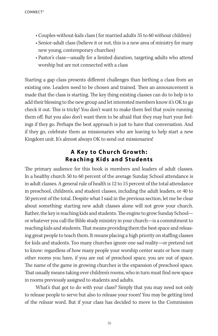- Couples-without-kids class ( for married adults 35 to 60 without children)
- Senior-adult class (believe it or not, this is a new area of ministry for many new young, contemporary churches)
- Pastor's class—usually for a limited duration, targeting adults who attend worship but are not connected with a class

Starting a gap class presents different challenges than birthing a class from an existing one. Leaders need to be chosen and trained. Then an announcement is made that the class is starting. The key thing existing classes can do to help is to add their blessing to the new group and let interested members know it's OK to go check it out. This is tricky! You don't want to make them feel that you're running them off. But you also don't want them to be afraid that they may hurt your feelings if they go. Perhaps the best approach is just to have that conversation. And if they go, celebrate them as missionaries who are leaving to help start a new Kingdom unit. It's almost always OK to send out missionaries!

#### **A Key to Church Growth: Reaching Kids and Students**

The primary audience for this book is members and leaders of adult classes. In a healthy church 50 to 60 percent of the average Sunday School attendance is in adult classes. A general rule of health is 12 to 15 percent of the total attendance in preschool, children's, and student classes, including the adult leaders, or 40 to 50 percent of the total. Despite what I said in the previous section, let me be clear about something: starting new adult classes alone will not grow your church. Rather, the key is reaching kids and students. The engine to grow Sunday School or whatever you call the Bible study ministry in your church—is a commitment to reaching kids and students. That means providing them the best space and releasing great people to teach them. It means placing a high priority on staffing classes for kids and students. Too many churches ignore one sad reality—or pretend not to know: regardless of how many people your worship center seats or how many other rooms you have, if you are out of preschool space, you are out of space. The name of the game in growing churches is the expansion of preschool space. That usually means taking over children's rooms, who in turn must find new space in rooms previously assigned to students and adults.

What's that got to do with your class? Simply that you may need not only to release people to serve but also to release your room! You may be getting tired of the release word. But if your class has decided to move to the Commission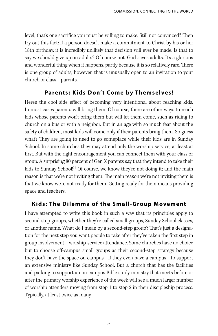level, that's one sacrifice you must be willing to make. Still not convinced? Then try out this fact: if a person doesn't make a commitment to Christ by his or her 18th birthday, it is incredibly unlikely that decision will ever be made. Is that to say we should give up on adults? Of course not. God saves adults. It's a glorious and wonderful thing when it happens, partly because it is so relatively rare. There is one group of adults, however, that is unusually open to an invitation to your church or class—parents.

#### **Parents: Kids Don't Come by Themselves!**

Here's the cool side effect of becoming very intentional about reaching kids. In most cases parents will bring them. Of course, there are other ways to reach kids whose parents won't bring them but will let them come, such as riding to church on a bus or with a neighbor. But in an age with so much fear about the safety of children, most kids will come only if their parents bring them. So guess what? They are going to need to go someplace while their kids are in Sunday School. In some churches they may attend only the worship service, at least at first. But with the right encouragement you can connect them with your class or group. A surprising 80 percent of Gen X parents say that they intend to take their kids to Sunday School!<sup>11</sup> Of course, we know they're not doing it; and the main reason is that we're not inviting them. The main reason we're not inviting them is that we know we're not ready for them. Getting ready for them means providing space and teachers.

#### **Kids: The Dilemma of the Small-Group Movement**

I have attempted to write this book in such a way that its principles apply to second-step groups, whether they're called small groups, Sunday School classes, or another name. What do I mean by a second-step group? That's just a designation for the next step you want people to take after they've taken the first step in group involvement—worship-service attendance. Some churches have no choice but to choose off-campus small groups as their second-step strategy because they don't have the space on campus—if they even have a campus—to support an extensive ministry like Sunday School. But a church that has the facilities and parking to support an on-campus Bible study ministry that meets before or after the primary worship experience of the week will see a much larger number of worship attenders moving from step 1 to step 2 in their discipleship process. Typically, at least twice as many.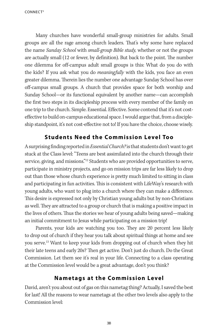CONNECT<sup>3</sup>

Many churches have wonderful small-group ministries for adults. Small groups are all the rage among church leaders. That's why some have replaced the name Sunday School with small-group Bible study, whether or not the groups are actually small (12 or fewer, by definition). But back to the point. The number one dilemma for off-campus adult small groups is this: What do you do with the kids? If you ask what you do *meaningfully* with the kids, you face an even greater dilemma. Therein lies the number one advantage Sunday School has over off-campus small groups. A church that provides space for both worship and Sunday School—or its functional equivalent by another name—can accomplish the first two steps in its discipleship process with every member of the family on one trip to the church. Simple. Essential. Effective. Some contend that it's not costeffective to build on-campus educational space. I would argue that, from a discipleship standpoint, it's not cost-effective not to! If you have the choice, choose wisely.

## **Students Need the Commission Level Too**

A surprising finding reported in *Essential Church*? is that students don't want to get stuck at the Class level: "Teens are best assimilated into the church through their service, giving, and missions."<sup>12</sup> Students who are provided opportunities to serve, participate in ministry projects, and go on mission trips are far less likely to drop out than those whose church experience is pretty much limited to sitting in class and participating in fun activities. This is consistent with LifeWay's research with young adults, who want to plug into a church where they can make a difference. This desire is expressed not only by Christian young adults but by non-Christians as well. They are attracted to a group or church that is making a positive impact in the lives of others. Thus the stories we hear of young adults being saved—making an initial commitment to Jesus while participating on a mission trip!

Parents, your kids are watching you too. They are 20 percent less likely to drop out of church if they hear you talk about spiritual things at home and see you serve.<sup>13</sup> Want to keep your kids from dropping out of church when they hit their late teens and early 20s? Then get active. Don't just do church. Do the Great Commission. Let them see it's real in your life. Connecting to a class operating at the Commission level would be a great advantage, don't you think?

## **Nametags at the Commission Level**

David, aren't you about out of gas on this nametag thing? Actually, I saved the best for last! All the reasons to wear nametags at the other two levels also apply to the Commission level:

38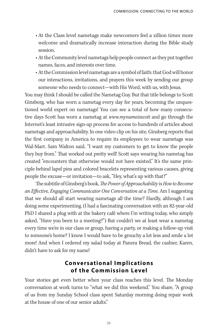- At the Class level nametags make newcomers feel a zillion times more welcome and dramatically increase interaction during the Bible study session.
- At the Community level nametags help people connect as they put together names, faces, and interests over time.
- At the Commission level nametags are a symbol of faith: that God will honor our interactions, invitations, and prayers this week by sending our group someone who needs to connect—with His Word, with us, with Jesus.

You may think I should be called the Nametag Guy. But that title belongs to Scott Ginsberg, who has worn a nametag every day for years, becoming the unquestioned world expert on nametags! You can see a total of how many consecutive days Scott has worn a nametag at www.mynameisscott and go through the Internet's least intrusive sign-up process for access to hundreds of articles about nametags and approachability. In one video clip on his site, Ginsberg reports that the first company in America to require its employees to wear nametags was Wal-Mart. Sam Walton said, "I want my customers to get to know the people they buy from." That worked out pretty well! Scott says wearing his nametag has created "encounters that otherwise would not have existed." It's the same principle behind lapel pins and colored bracelets representing various causes, giving people the excuse—or invitation—to ask, "Hey, what's up with that?"

The subtitle of Ginsberg's book, The Power of Approachability is How to Become an Effective, Engaging Communicator One Conversation at a Time. Am I suggesting that we should all start wearing nametags all the time? Hardly, although I am doing some experimenting. (I had a fascinating conversation with an 82-year-old PhD I shared a plug with at the bakery café where I'm writing today, who simply asked, "Have you been to a meeting?") But couldn't we at least wear a nametag every time we're in our class or group, having a party, or making a follow-up visit to someone's home? I know I would have to be grouchy a lot less and smile a lot more! And when I ordered my salad today at Panera Bread, the cashier, Karen, didn't have to ask for my name!

#### **Conversational Implic ations of the Commission Level**

Your stories get even better when your class reaches this level. The Monday conversation at work turns to "what we did this weekend." You share, "A group of us from my Sunday School class spent Saturday morning doing repair work at the house of one of our senior adults."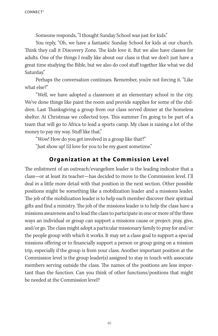Someone responds, "I thought Sunday School was just for kids."

You reply, "Oh, we have a fantastic Sunday School for kids at our church. Think they call it Discovery Zone. The kids love it. But we also have classes for adults. One of the things I really like about our class is that we don't just have a great time studying the Bible, but we also do cool stuff together like what we did Saturday."

Perhaps the conversation continues. Remember, you're not forcing it. "Like what else?"

"Well, we have adopted a classroom at an elementary school in the city. We've done things like paint the room and provide supplies for some of the children. Last Thanksgiving a group from our class served dinner at the homeless shelter. At Christmas we collected toys. This summer I'm going to be part of a team that will go to Africa to lead a sports camp. My class is raising a lot of the money to pay my way. Stuff like that."

"Wow! How do you get involved in a group like that?"

"Just show up! I'd love for you to be my guest sometime."

#### **Organization at the Commission Level**

The enlistment of an outreach/evangelism leader is the leading indicator that a class—or at least its teacher—has decided to move to the Commission level. I'll deal in a little more detail with that position in the next section. Other possible positions might be something like a mobilization leader and a missions leader. The job of the mobilization leader is to help each member discover their spiritual gifts and find a ministry. The job of the missions leader is to help the class have a missions awareness and to lead the class to participate in one or more of the three ways an individual or group can support a missions cause or project: pray, give, and/or go. The class might adopt a particular missionary family to pray for and/or the people group with which it works. It may set a class goal to support a special missions offering or to financially support a person or group going on a mission trip, especially if the group is from your class. Another important position at the Commission level is the group leader(s) assigned to stay in touch with associate members serving outside the class. The names of the positions are less important than the function. Can you think of other functions/positions that might be needed at the Commission level?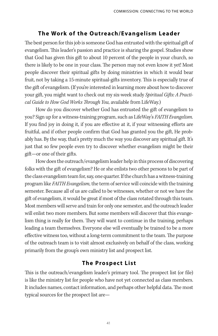## **The Work of the Outreach/Evangelism Leader**

The best person for this job is someone God has entrusted with the spiritual gift of evangelism. This leader's passion and practice is sharing the gospel. Studies show that God has given this gift to about 10 percent of the people in your church, so there is likely to be one in your class. The person may not even know it yet! Most people discover their spiritual gifts by doing ministries in which it would bear fruit, not by taking a 15-minute spiritual-gifts inventory. This is especially true of the gift of evangelism. (If you're interested in learning more about how to discover your gift, you might want to check out my six-week study Spiritual Gifts: A Practical Guide to How God Works Through You, available from LifeWay.)

How do you discover whether God has entrusted the gift of evangelism to you? Sign up for a witness-training program, such as LifeWay's FAITH Evangelism. If you find joy in doing it, if you are effective at it, if your witnessing efforts are fruitful, and if other people confirm that God has granted you the gift, He probably has. By the way, that's pretty much the way you discover any spiritual gift. It's just that so few people even try to discover whether evangelism might be their gift—or one of their gifts.

How does the outreach/evangelism leader help in this process of discovering folks with the gift of evangelism? He or she enlists two other persons to be part of the class evangelism team for, say, one quarter. If the church has a witness-training program like FAITH Evangelism, the term of service will coincide with the training semester. Because all of us are called to be witnesses, whether or not we have the gift of evangelism, it would be great if most of the class rotated through this team. Most members will serve and train for only one semester, and the outreach leader will enlist two more members. But some members will discover that this evangelism thing is really for them. They will want to continue in the training, perhaps leading a team themselves. Everyone else will eventually be trained to be a more effective witness too, without a long-term commitment to the team. The purpose of the outreach team is to visit almost exclusively on behalf of the class, working primarily from the group's own ministry list and prospect list.

## **The Prospect List**

This is the outreach/evangelism leader's primary tool. The prospect list (or file) is like the ministry list for people who have not yet connected as class members. It includes names, contact information, and perhaps other helpful data. The most typical sources for the prospect list are—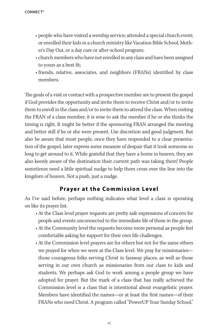- people who have visited a worship service; attended a special church event; or enrolled their kids in a church ministry like Vacation Bible School, Mother's Day Out, or a day care or after-school program;
- church members who have not enrolled in any class and have been assigned to yours as a best fit;
- friends, relative, associates, and neighbors (FRANs) identified by class members.

The goals of a visit or contact with a prospective member are to present the gospel if God provides the opportunity and invite them to receive Christ and/or to invite them to enroll in the class and/or to invite them to attend the class. When visiting the FRAN of a class member, it is wise to ask the member if he or she thinks the timing is right. It might be better if the sponsoring FRAN arranged the meeting and better still if he or she were present. Use discretion and good judgment. But also be aware that most people, once they have responded to a clear presentation of the gospel, later express some measure of despair that it took someone so long to get around to it. While grateful that they have a home in heaven, they are also keenly aware of the destination their current path was taking them! People sometimes need a little spiritual nudge to help them cross over the line into the kingdom of heaven. Not a push, just a nudge.

## **Prayer at the Commission Level**

As I've said before, perhaps nothing indicates what level a class is operating on like its prayer list.

- At the Class level prayer requests are pretty safe expressions of concern for people and events unconnected to the immediate life of those in the group.
- At the Community level the requests become more personal as people feel comfortable asking for support for their own life challenges.
- At the Commission level prayers are for others but not for the same others we prayed for when we were at the Class level. We pray for missionaries those courageous folks serving Christ in faraway places, as well as those serving in our own church as missionaries from our class to kids and students. We perhaps ask God to work among a people group we have adopted for prayer. But the mark of a class that has really achieved the Commission level is a class that is intentional about evangelistic prayer. Members have identified the names—or at least the first names—of their FRANs who need Christ. A program called "PowerUP Your Sunday School,"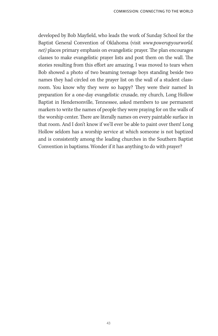developed by Bob Mayfield, who leads the work of Sunday School for the Baptist General Convention of Oklahoma (visit www.powerupyourworld. net) places primary emphasis on evangelistic prayer. The plan encourages classes to make evangelistic prayer lists and post them on the wall. The stories resulting from this effort are amazing. I was moved to tears when Bob showed a photo of two beaming teenage boys standing beside two names they had circled on the prayer list on the wall of a student classroom. You know why they were so happy? They were their names! In preparation for a one-day evangelistic crusade, my church, Long Hollow Baptist in Hendersonville, Tennessee, asked members to use permanent markers to write the names of people they were praying for on the walls of the worship center. There are literally names on every paintable surface in that room. And I don't know if we'll ever be able to paint over them! Long Hollow seldom has a worship service at which someone is not baptized and is consistently among the leading churches in the Southern Baptist Convention in baptisms. Wonder if it has anything to do with prayer?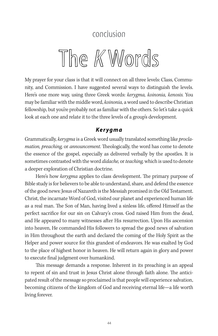## conclusion

## The K Words

My prayer for your class is that it will connect on all three levels: Class, Community, and Commission. I have suggested several ways to distinguish the levels. Here's one more way, using three Greek words: kerygma, koinonia, kenosis. You may be familiar with the middle word, koinonia, a word used to describe Christian fellowship, but you're probably not as familiar with the others. So let's take a quick look at each one and relate it to the three levels of a group's development.

#### **Kerygma**

Grammatically, kerygma is a Greek word usually translated something like proclamation, preaching, or announcement. Theologically, the word has come to denote the essence of the gospel, especially as delivered verbally by the apostles. It is sometimes contrasted with the word *didache*, or *teaching*, which is used to denote a deeper exploration of Christian doctrine.

Here's how *kerygma* applies to class development. The primary purpose of Bible study is for believers to be able to understand, share, and defend the essence of the good news: Jesus of Nazareth is the Messiah promised in the Old Testament. Christ, the incarnate Word of God, visited our planet and experienced human life as a real man. The Son of Man, having lived a sinless life, offered Himself as the perfect sacrifice for our sin on Calvary's cross. God raised Him from the dead, and He appeared to many witnesses after His resurrection. Upon His ascension into heaven, He commanded His followers to spread the good news of salvation in Him throughout the earth and declared the coming of the Holy Spirit as the Helper and power source for this grandest of endeavors. He was exalted by God to the place of highest honor in heaven. He will return again in glory and power to execute final judgment over humankind.

This message demands a response. Inherent in its preaching is an appeal to repent of sin and trust in Jesus Christ alone through faith alone. The anticipated result of the message so proclaimed is that people will experience salvation, becoming citizens of the kingdom of God and receiving eternal life—a life worth living forever.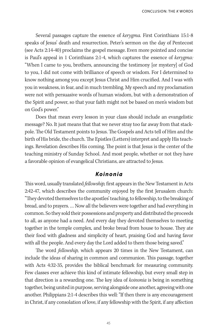Several passages capture the essence of kerygma. First Corinthians 15:1-8 speaks of Jesus' death and resurrection. Peter's sermon on the day of Pentecost (see Acts 2:14-40) proclaims the gospel message. Even more pointed and concise is Paul's appeal in 1 Corinthians 2:1-4, which captures the essence of kerygma: "When I came to you, brothers, announcing the testimony [or mystery] of God to you, I did not come with brilliance of speech or wisdom. For I determined to know nothing among you except Jesus Christ and Him crucified. And I was with you in weakness, in fear, and in much trembling. My speech and my proclamation were not with persuasive words of human wisdom, but with a demonstration of the Spirit and power, so that your faith might not be based on men's wisdom but on God's power."

Does that mean every lesson in your class should include an evangelistic message? No. It just means that that we never stray too far away from that stackpole. The Old Testament points to Jesus. The Gospels and Acts tell of Him and the birth of His bride, the church. The Epistles (Letters) interpret and apply His teachings. Revelation describes His coming. The point is that Jesus is the center of the teaching ministry of Sunday School. And most people, whether or not they have a favorable opinion of evangelical Christians, are attracted to Jesus.

#### **Koinonia**

This word, usually translated *fellowship*, first appears in the New Testament in Acts 2:42-47, which describes the community enjoyed by the first Jerusalem church: "They devoted themselves to the apostles' teaching, to fellowship, to the breaking of bread, and to prayers. … Now all the believers were together and had everything in common. So they sold their possessions and property and distributed the proceeds to all, as anyone had a need. And every day they devoted themselves to meeting together in the temple complex, and broke bread from house to house. They ate their food with gladness and simplicity of heart, praising God and having favor with all the people. And every day the Lord added to them those being saved."

The word *fellowship*, which appears 20 times in the New Testament, can include the ideas of sharing in common and communion. This passage, together with Acts 4:32-35, provides the biblical benchmark for measuring community. Few classes ever achieve this kind of intimate fellowship, but every small step in that direction is a rewarding one. The key idea of *koinonia* is being in something together, being united in purpose, serving alongside one another, agreeing with one another. Philippians 2:1-4 describes this well: "If then there is any encouragement in Christ, if any consolation of love, if any fellowship with the Spirit, if any affection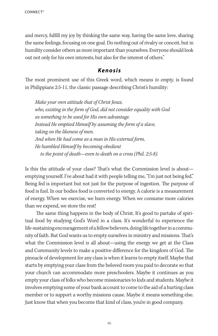and mercy, fulfill my joy by thinking the same way, having the same love, sharing the same feelings, focusing on one goal. Do nothing out of rivalry or conceit, but in humility consider others as more important than yourselves. Everyone should look out not only for his own interests, but also for the interest of others."

#### **Kenosis**

The most prominent use of this Greek word, which means to empty, is found in Philippians 2:5-11, the classic passage describing Christ's humility:

Make your own attitude that of Christ Jesus, who, existing in the form of God, did not consider equality with God as something to be used for His own advantage. Instead He emptied Himself by assuming the form of a slave, taking on the likeness of men. And when He had come as a man in His external form, He humbled Himself by becoming obedient to the point of death—even to death on a cross (Phil. 2:5-8).

Is this the attitude of your class? That's what the Commission level is about emptying yourself. I've about had it with people telling me, "I'm just not being fed." Being fed is important but not just for the purpose of ingestion. The purpose of food is fuel. In our bodies food is converted to energy. A calorie is a measurement of energy. When we exercise, we burn energy. When we consume more calories than we expend, we store the rest!

The same thing happens in the body of Christ. It's good to partake of spiritual food by studying God's Word in a class. It's wonderful to experience the life-sustaining encouragement of a fellow believers, doing life together in a community of faith. But God wants us to empty ourselves in ministry and missions. That's what the Commission level is all about—using the energy we get at the Class and Community levels to make a positive difference for the kingdom of God. The pinnacle of development for any class is when it learns to empty itself. Maybe that starts by emptying your class from the beloved room you paid to decorate so that your church can accommodate more preschoolers. Maybe it continues as you empty your class of folks who become missionaries to kids and students. Maybe it involves emptying some of your bank account to come to the aid of a hurting class member or to support a worthy missions cause. Maybe it means something else. Just know that when you become that kind of class, you're in good company.

46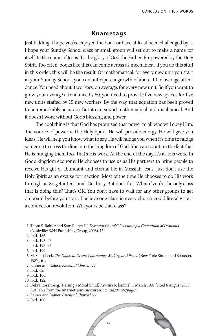#### **Knametags**

Just kidding! I hope you've enjoyed the book or have at least been challenged by it. I hope your Sunday School class or small group will set out to make a name for itself. In the name of Jesus. To the glory of God the Father. Empowered by the Holy Spirit. Too often, books like this can come across as mechanical: if you do this stuff in this order, this will be the result. Or mathematical: for every new unit you start in your Sunday School, you can anticipate a growth of about 10 in average attendance. You need about 3 workers, on average, for every new unit. So if you want to grow your average attendance by 50, you need to provide five new spaces for five new units staffed by 15 new workers. By the way, that equation has been proved to be remarkably accurate. But it can sound mathematical and mechanical. And it doesn't work without God's blessing and power.

The cool thing is that God has promised that power to all who will obey Him. The source of power is the Holy Spirit. He will provide energy. He will give you ideas. He will help you know what to say. He will nudge you when it's time to nudge someone to cross the line into the kingdom of God. You can count on the fact that He is nudging them too. That's His work. At the end of the day, it's all His work. In God's kingdom economy He chooses to use us as His partners to bring people to receive His gift of abundant and eternal life in Messiah Jesus. Just don't use the Holy Spirit as an excuse for inaction. Most of the time He chooses to do His work through us. So get intentional. Get busy. But don't fret. What if you're the only class that is doing this? That's OK. You don't have to wait for any other groups to get on board before you start. I believe one class in every church could literally start a connection revolution. Will yours be that class?

- 2. Ibid., 185.
- 3. Ibid., 195–96.
- 4. Ibid., 193–95.
- 5. Ibid., 199.
- 6. M. Scott Peck, The Different Drum: Community-Making and Peace (New York: Simon and Schuster, 1987), 61.
- 7. Rainer and Rainer, Essential Church? 77.
- 8. Ibid., 62.
- 9. Ibid., 106.
- 10. Ibid., 122.
- 11. Debra Rosenberg, "Raising a Moral Child," Newsweek [online], 1 March 1997 [cited 6 August 2008]. Available from the Internet: www.newsweek.com/id/95392/page/1.
- 12. Rainer and Rainer, Essential Church? 86.
- 13. Ibid., 100.



<sup>1.</sup> Thom S. Rainer and Sam Rainer III, *Essential Church? Reclaiming a Generation of Dropouts* (Nashville: B&H Publishing Group, 2008), 154.